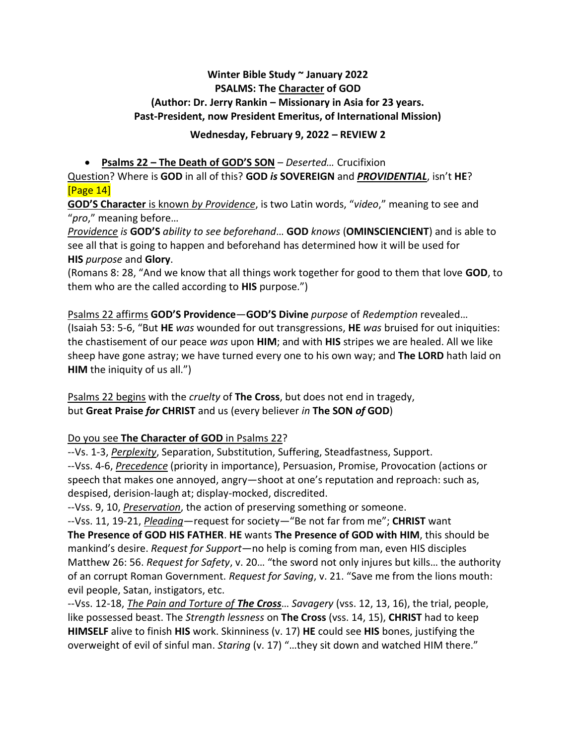## **Winter Bible Study ~ January 2022 PSALMS: The Character of GOD (Author: Dr. Jerry Rankin – Missionary in Asia for 23 years. Past-President, now President Emeritus, of International Mission)**

## **Wednesday, February 9, 2022 – REVIEW 2**

## • **Psalms 22 – The Death of GOD'S SON** – *Deserted…* Crucifixion

Question? Where is **GOD** in all of this? **GOD** *is* **SOVEREIGN** and *PROVIDENTIAL*, isn't **HE**? [Page 14]

**GOD'S Character** is known *by Providence*, is two Latin words, "*video*," meaning to see and "*pro*," meaning before…

*Providence is* **GOD'S** *ability to see beforehand*… **GOD** *knows* (**OMINSCIENCIENT**) and is able to see all that is going to happen and beforehand has determined how it will be used for **HIS** *purpose* and **Glory**.

(Romans 8: 28, "And we know that all things work together for good to them that love **GOD**, to them who are the called according to **HIS** purpose.")

Psalms 22 affirms **GOD'S Providence**—**GOD'S Divine** *purpose* of *Redemption* revealed… (Isaiah 53: 5-6, "But **HE** *was* wounded for out transgressions, **HE** *was* bruised for out iniquities: the chastisement of our peace *was* upon **HIM**; and with **HIS** stripes we are healed. All we like sheep have gone astray; we have turned every one to his own way; and **The LORD** hath laid on **HIM** the iniquity of us all.")

Psalms 22 begins with the *cruelty* of **The Cross**, but does not end in tragedy, but **Great Praise** *for* **CHRIST** and us (every believer *in* **The SON** *of* **GOD**)

## Do you see **The Character of GOD** in Psalms 22?

--Vs. 1-3, *Perplexity*, Separation, Substitution, Suffering, Steadfastness, Support. --Vss. 4-6, *Precedence* (priority in importance), Persuasion, Promise, Provocation (actions or speech that makes one annoyed, angry—shoot at one's reputation and reproach: such as, despised, derision-laugh at; display-mocked, discredited.

--Vss. 9, 10, *Preservation*, the action of preserving something or someone.

--Vss. 11, 19-21, *Pleading*—request for society—"Be not far from me"; **CHRIST** want **The Presence of GOD HIS FATHER**. **HE** wants **The Presence of GOD with HIM**, this should be mankind's desire. *Request for Support*—no help is coming from man, even HIS disciples Matthew 26: 56. *Request for Safety*, v. 20… "the sword not only injures but kills… the authority of an corrupt Roman Government. *Request for Saving*, v. 21. "Save me from the lions mouth: evil people, Satan, instigators, etc.

--Vss. 12-18, *The Pain and Torture of The Cross*… *Savagery* (vss. 12, 13, 16), the trial, people, like possessed beast. The *Strength lessness* on **The Cross** (vss. 14, 15), **CHRIST** had to keep **HIMSELF** alive to finish **HIS** work. Skinniness (v. 17) **HE** could see **HIS** bones, justifying the overweight of evil of sinful man. *Staring* (v. 17) "…they sit down and watched HIM there."